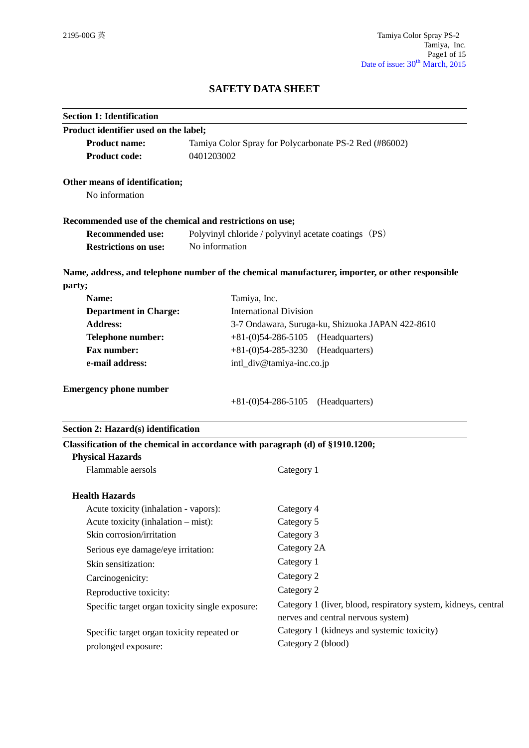# **SAFETY DATA SHEET**

| <b>Section 1: Identification</b>                                               |                |                                                                                                      |  |
|--------------------------------------------------------------------------------|----------------|------------------------------------------------------------------------------------------------------|--|
| Product identifier used on the label;                                          |                |                                                                                                      |  |
| <b>Product name:</b>                                                           |                | Tamiya Color Spray for Polycarbonate PS-2 Red (#86002)                                               |  |
| <b>Product code:</b>                                                           | 0401203002     |                                                                                                      |  |
| Other means of identification;                                                 |                |                                                                                                      |  |
| No information                                                                 |                |                                                                                                      |  |
| Recommended use of the chemical and restrictions on use;                       |                |                                                                                                      |  |
| <b>Recommended use:</b>                                                        |                | Polyvinyl chloride / polyvinyl acetate coatings (PS)                                                 |  |
| <b>Restrictions on use:</b>                                                    | No information |                                                                                                      |  |
|                                                                                |                | Name, address, and telephone number of the chemical manufacturer, importer, or other responsible     |  |
| party;                                                                         |                |                                                                                                      |  |
| Name:                                                                          | Tamiya, Inc.   |                                                                                                      |  |
| <b>Department in Charge:</b>                                                   |                | <b>International Division</b>                                                                        |  |
| <b>Address:</b>                                                                |                | 3-7 Ondawara, Suruga-ku, Shizuoka JAPAN 422-8610                                                     |  |
| <b>Telephone number:</b>                                                       |                | $+81-(0)54-286-5105$ (Headquarters)                                                                  |  |
| Fax number:                                                                    |                | $+81-(0)54-285-3230$<br>(Headquarters)                                                               |  |
| e-mail address:                                                                |                | intl_div@tamiya-inc.co.jp                                                                            |  |
| <b>Emergency phone number</b>                                                  |                | $+81-(0)54-286-5105$ (Headquarters)                                                                  |  |
|                                                                                |                |                                                                                                      |  |
| Section 2: Hazard(s) identification                                            |                |                                                                                                      |  |
| Classification of the chemical in accordance with paragraph (d) of §1910.1200; |                |                                                                                                      |  |
| <b>Physical Hazards</b>                                                        |                |                                                                                                      |  |
| Flammable aersols                                                              |                | Category 1                                                                                           |  |
| <b>Health Hazards</b>                                                          |                |                                                                                                      |  |
| Acute toxicity (inhalation - vapors):                                          |                | Category 4                                                                                           |  |
| Acute toxicity (inhalation – mist):                                            |                | Category 5                                                                                           |  |
| Skin corrosion/irritation                                                      |                | Category 3                                                                                           |  |
| Serious eye damage/eye irritation:                                             |                | Category 2A                                                                                          |  |
| Skin sensitization:                                                            |                | Category 1                                                                                           |  |
| Carcinogenicity:                                                               |                | Category 2                                                                                           |  |
| Reproductive toxicity:                                                         |                | Category 2                                                                                           |  |
| Specific target organ toxicity single exposure:                                |                | Category 1 (liver, blood, respiratory system, kidneys, central<br>nerves and central nervous system) |  |
| Specific target organ toxicity repeated or<br>prolonged exposure:              |                | Category 1 (kidneys and systemic toxicity)<br>Category 2 (blood)                                     |  |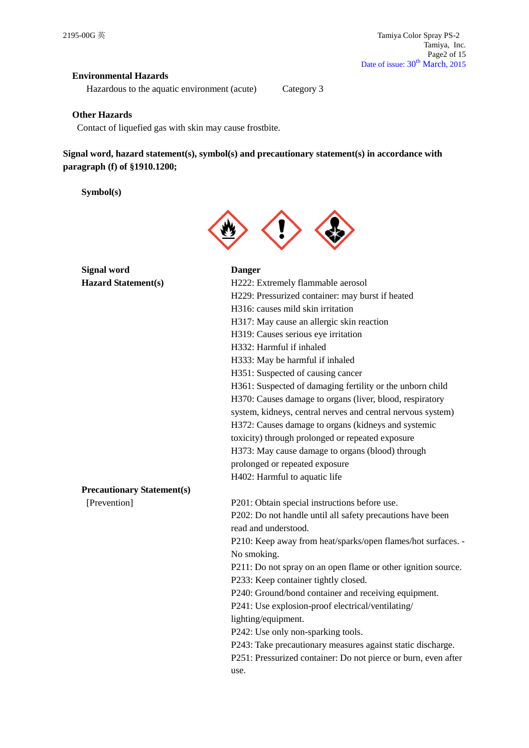## **Environmental Hazards**

Hazardous to the aquatic environment (acute) Category 3

## **Other Hazards**

Contact of liquefied gas with skin may cause frostbite.

**Signal word, hazard statement(s), symbol(s) and precautionary statement(s) in accordance with paragraph (f) of §1910.1200;**

**Symbol(s)**



| <b>Signal word</b>                | <b>Danger</b>                                                  |
|-----------------------------------|----------------------------------------------------------------|
| <b>Hazard Statement(s)</b>        | H222: Extremely flammable aerosol                              |
|                                   | H229: Pressurized container: may burst if heated               |
|                                   | H316: causes mild skin irritation                              |
|                                   | H317: May cause an allergic skin reaction                      |
|                                   | H319: Causes serious eye irritation                            |
|                                   | H332: Harmful if inhaled                                       |
|                                   | H333: May be harmful if inhaled                                |
|                                   | H351: Suspected of causing cancer                              |
|                                   | H361: Suspected of damaging fertility or the unborn child      |
|                                   | H370: Causes damage to organs (liver, blood, respiratory       |
|                                   | system, kidneys, central nerves and central nervous system)    |
|                                   | H372: Causes damage to organs (kidneys and systemic            |
|                                   | toxicity) through prolonged or repeated exposure               |
|                                   | H373: May cause damage to organs (blood) through               |
|                                   | prolonged or repeated exposure                                 |
|                                   | H402: Harmful to aquatic life                                  |
| <b>Precautionary Statement(s)</b> |                                                                |
| [Prevention]                      | P201: Obtain special instructions before use.                  |
|                                   | P202: Do not handle until all safety precautions have been     |
|                                   | read and understood.                                           |
|                                   | P210: Keep away from heat/sparks/open flames/hot surfaces. -   |
|                                   | No smoking.                                                    |
|                                   | P211: Do not spray on an open flame or other ignition source.  |
|                                   | P233: Keep container tightly closed.                           |
|                                   | P240: Ground/bond container and receiving equipment.           |
|                                   | P241: Use explosion-proof electrical/ventilating/              |
|                                   | lighting/equipment.                                            |
|                                   | P242: Use only non-sparking tools.                             |
|                                   | P243: Take precautionary measures against static discharge.    |
|                                   | P251: Pressurized container: Do not pierce or burn, even after |
|                                   | use.                                                           |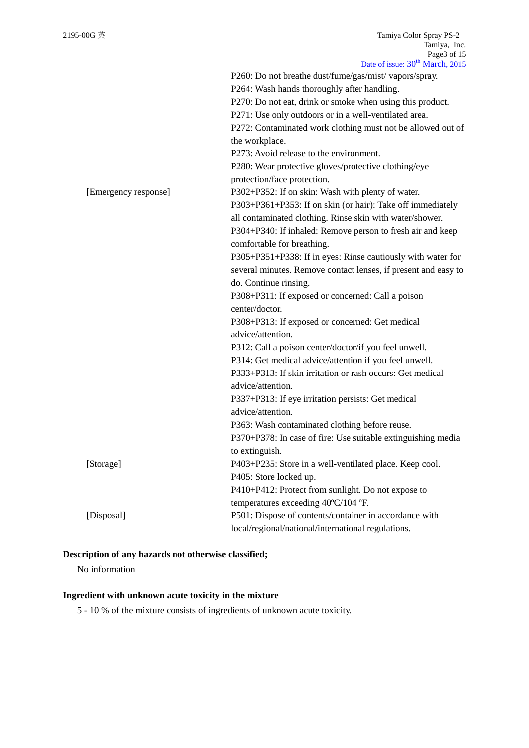|                      | P260: Do not breathe dust/fume/gas/mist/ vapors/spray.<br>P264: Wash hands thoroughly after handling. |
|----------------------|-------------------------------------------------------------------------------------------------------|
|                      | P270: Do not eat, drink or smoke when using this product.                                             |
|                      | P271: Use only outdoors or in a well-ventilated area.                                                 |
|                      | P272: Contaminated work clothing must not be allowed out of                                           |
|                      | the workplace.                                                                                        |
|                      | P273: Avoid release to the environment.                                                               |
|                      | P280: Wear protective gloves/protective clothing/eye                                                  |
|                      | protection/face protection.                                                                           |
| [Emergency response] | P302+P352: If on skin: Wash with plenty of water.                                                     |
|                      | P303+P361+P353: If on skin (or hair): Take off immediately                                            |
|                      | all contaminated clothing. Rinse skin with water/shower.                                              |
|                      | P304+P340: If inhaled: Remove person to fresh air and keep                                            |
|                      | comfortable for breathing.                                                                            |
|                      | P305+P351+P338: If in eyes: Rinse cautiously with water for                                           |
|                      | several minutes. Remove contact lenses, if present and easy to                                        |
|                      | do. Continue rinsing.                                                                                 |
|                      | P308+P311: If exposed or concerned: Call a poison                                                     |
|                      | center/doctor.                                                                                        |
|                      | P308+P313: If exposed or concerned: Get medical                                                       |
|                      | advice/attention.                                                                                     |
|                      | P312: Call a poison center/doctor/if you feel unwell.                                                 |
|                      | P314: Get medical advice/attention if you feel unwell.                                                |
|                      | P333+P313: If skin irritation or rash occurs: Get medical                                             |
|                      | advice/attention.                                                                                     |
|                      | P337+P313: If eye irritation persists: Get medical                                                    |
|                      | advice/attention.                                                                                     |
|                      | P363: Wash contaminated clothing before reuse.                                                        |
|                      | P370+P378: In case of fire: Use suitable extinguishing media                                          |
|                      | to extinguish.                                                                                        |
| [Storage]            | P403+P235: Store in a well-ventilated place. Keep cool.                                               |
|                      | P405: Store locked up.                                                                                |
|                      | P410+P412: Protect from sunlight. Do not expose to                                                    |
|                      | temperatures exceeding 40°C/104 °F.                                                                   |
| [Disposal]           | P501: Dispose of contents/container in accordance with                                                |
|                      | local/regional/national/international regulations.                                                    |

# **Description of any hazards not otherwise classified;**

No information

## **Ingredient with unknown acute toxicity in the mixture**

5 - 10 % of the mixture consists of ingredients of unknown acute toxicity.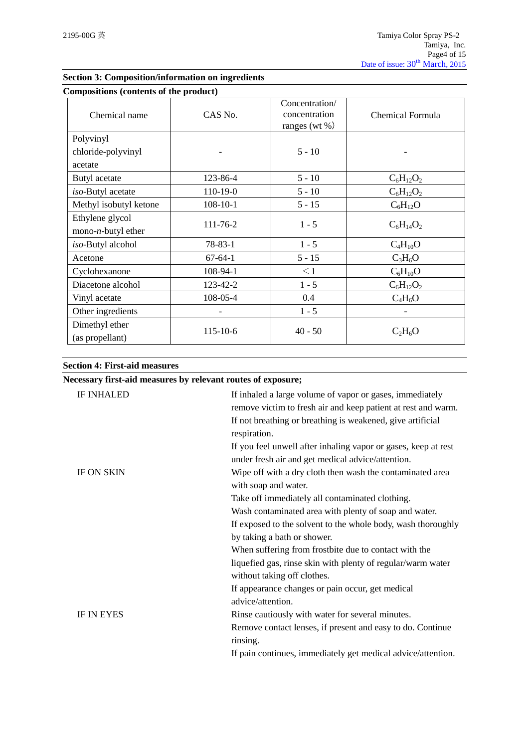| Compositions (contents of the product)         |                |                                                      |                  |
|------------------------------------------------|----------------|------------------------------------------------------|------------------|
| Chemical name                                  | CAS No.        | Concentration/<br>concentration<br>ranges (wt $\%$ ) | Chemical Formula |
| Polyvinyl                                      |                |                                                      |                  |
| chloride-polyvinyl                             |                | $5 - 10$                                             |                  |
| acetate                                        |                |                                                      |                  |
| Butyl acetate                                  | 123-86-4       | $5 - 10$                                             | $C_6H_{12}O_2$   |
| iso-Butyl acetate                              | 110-19-0       | $5 - 10$                                             | $C_6H_{12}O_2$   |
| Methyl isobutyl ketone                         | $108 - 10 - 1$ | $5 - 15$                                             | $C_6H_{12}O$     |
| Ethylene glycol<br>mono- <i>n</i> -butyl ether | 111-76-2       | $1 - 5$                                              | $C_6H_{14}O_2$   |
| iso-Butyl alcohol                              | $78 - 83 - 1$  | $1 - 5$                                              | $C_4H_{10}O$     |
| Acetone                                        | $67 - 64 - 1$  | $5 - 15$                                             | $C_3H_6O$        |
| Cyclohexanone                                  | 108-94-1       | $\leq$ 1                                             | $C_6H_{10}O$     |
| Diacetone alcohol                              | 123-42-2       | $1 - 5$                                              | $C_6H_{12}O_2$   |
| Vinyl acetate                                  | 108-05-4       | 0.4                                                  | $C_4H_6O$        |
| Other ingredients                              |                | $1 - 5$                                              |                  |
| Dimethyl ether<br>(as propellant)              | 115-10-6       | $40 - 50$                                            | $C_2H_6O$        |

## **Section 3: Composition/information on ingredients**

## **Section 4: First-aid measures**

| Necessary first-aid measures by relevant routes of exposure; |                                                                                                                                                                                                         |
|--------------------------------------------------------------|---------------------------------------------------------------------------------------------------------------------------------------------------------------------------------------------------------|
| <b>IF INHALED</b>                                            | If inhaled a large volume of vapor or gases, immediately<br>remove victim to fresh air and keep patient at rest and warm.<br>If not breathing or breathing is weakened, give artificial<br>respiration. |
|                                                              | If you feel unwell after inhaling vapor or gases, keep at rest<br>under fresh air and get medical advice/attention.                                                                                     |
| <b>IF ON SKIN</b>                                            | Wipe off with a dry cloth then wash the contaminated area<br>with soap and water.                                                                                                                       |
|                                                              | Take off immediately all contaminated clothing.                                                                                                                                                         |
|                                                              | Wash contaminated area with plenty of soap and water.                                                                                                                                                   |
|                                                              | If exposed to the solvent to the whole body, wash thoroughly                                                                                                                                            |
|                                                              | by taking a bath or shower.                                                                                                                                                                             |
|                                                              | When suffering from frostbite due to contact with the                                                                                                                                                   |
|                                                              | liquefied gas, rinse skin with plenty of regular/warm water<br>without taking off clothes.                                                                                                              |
|                                                              | If appearance changes or pain occur, get medical<br>advice/attention.                                                                                                                                   |
| <b>IF IN EYES</b>                                            | Rinse cautiously with water for several minutes.                                                                                                                                                        |
|                                                              | Remove contact lenses, if present and easy to do. Continue<br>rinsing.                                                                                                                                  |
|                                                              | If pain continues, immediately get medical advice/attention.                                                                                                                                            |
|                                                              |                                                                                                                                                                                                         |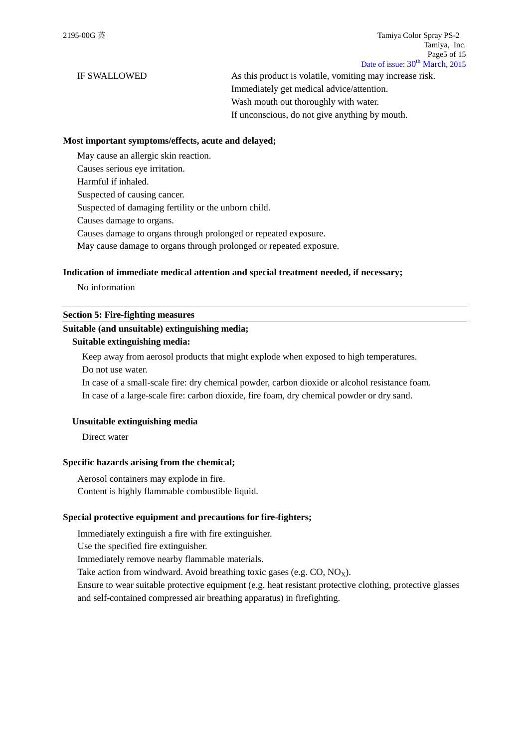IF SWALLOWED As this product is volatile, vomiting may increase risk. Immediately get medical advice/attention. Wash mouth out thoroughly with water. If unconscious, do not give anything by mouth.

#### **Most important symptoms/effects, acute and delayed;**

May cause an allergic skin reaction. Causes serious eye irritation. Harmful if inhaled. Suspected of causing cancer. Suspected of damaging fertility or the unborn child. Causes damage to organs.

Causes damage to organs through prolonged or repeated exposure.

May cause damage to organs through prolonged or repeated exposure.

#### **Indication of immediate medical attention and special treatment needed, if necessary;**

No information

## **Section 5: Fire-fighting measures**

### **Suitable (and unsuitable) extinguishing media;**

## **Suitable extinguishing media:**

Keep away from aerosol products that might explode when exposed to high temperatures. Do not use water.

In case of a small-scale fire: dry chemical powder, carbon dioxide or alcohol resistance foam. In case of a large-scale fire: carbon dioxide, fire foam, dry chemical powder or dry sand.

#### **Unsuitable extinguishing media**

Direct water

#### **Specific hazards arising from the chemical;**

Aerosol containers may explode in fire. Content is highly flammable combustible liquid.

#### **Special protective equipment and precautions for fire-fighters;**

Immediately extinguish a fire with fire extinguisher.

Use the specified fire extinguisher.

Immediately remove nearby flammable materials.

Take action from windward. Avoid breathing toxic gases (e.g.  $CO$ ,  $NO<sub>X</sub>$ ).

Ensure to wear suitable protective equipment (e.g. heat resistant protective clothing, protective glasses and self-contained compressed air breathing apparatus) in firefighting.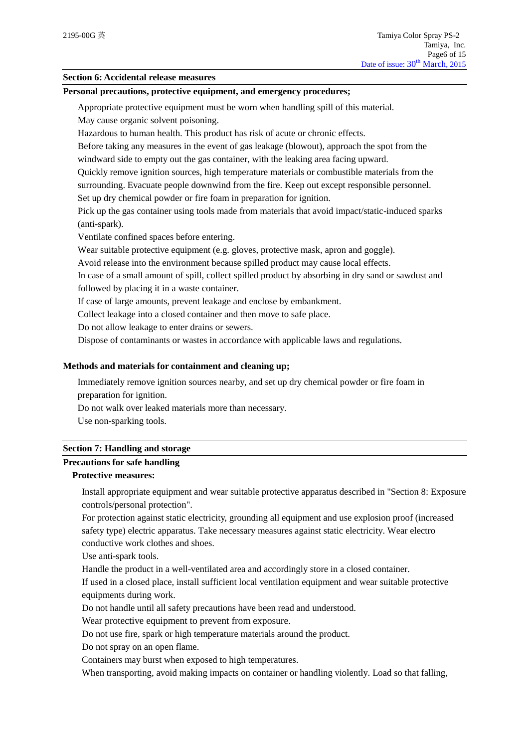## **Section 6: Accidental release measures**

#### **Personal precautions, protective equipment, and emergency procedures;**

Appropriate protective equipment must be worn when handling spill of this material.

May cause organic solvent poisoning.

Hazardous to human health. This product has risk of acute or chronic effects.

Before taking any measures in the event of gas leakage (blowout), approach the spot from the windward side to empty out the gas container, with the leaking area facing upward.

Quickly remove ignition sources, high temperature materials or combustible materials from the surrounding. Evacuate people downwind from the fire. Keep out except responsible personnel.

Set up dry chemical powder or fire foam in preparation for ignition.

Pick up the gas container using tools made from materials that avoid impact/static-induced sparks (anti-spark).

Ventilate confined spaces before entering.

Wear suitable protective equipment (e.g. gloves, protective mask, apron and goggle).

Avoid release into the environment because spilled product may cause local effects.

In case of a small amount of spill, collect spilled product by absorbing in dry sand or sawdust and followed by placing it in a waste container.

If case of large amounts, prevent leakage and enclose by embankment.

Collect leakage into a closed container and then move to safe place.

Do not allow leakage to enter drains or sewers.

Dispose of contaminants or wastes in accordance with applicable laws and regulations.

## **Methods and materials for containment and cleaning up;**

Immediately remove ignition sources nearby, and set up dry chemical powder or fire foam in preparation for ignition.

Do not walk over leaked materials more than necessary.

Use non-sparking tools.

#### **Section 7: Handling and storage**

## **Precautions for safe handling**

# **Protective measures:**

Install appropriate equipment and wear suitable protective apparatus described in "Section 8: Exposure controls/personal protection".

For protection against static electricity, grounding all equipment and use explosion proof (increased safety type) electric apparatus. Take necessary measures against static electricity. Wear electro conductive work clothes and shoes.

Use anti-spark tools.

Handle the product in a well-ventilated area and accordingly store in a closed container.

If used in a closed place, install sufficient local ventilation equipment and wear suitable protective equipments during work.

Do not handle until all safety precautions have been read and understood.

Wear protective equipment to prevent from exposure.

Do not use fire, spark or high temperature materials around the product.

Do not spray on an open flame.

Containers may burst when exposed to high temperatures.

When transporting, avoid making impacts on container or handling violently. Load so that falling,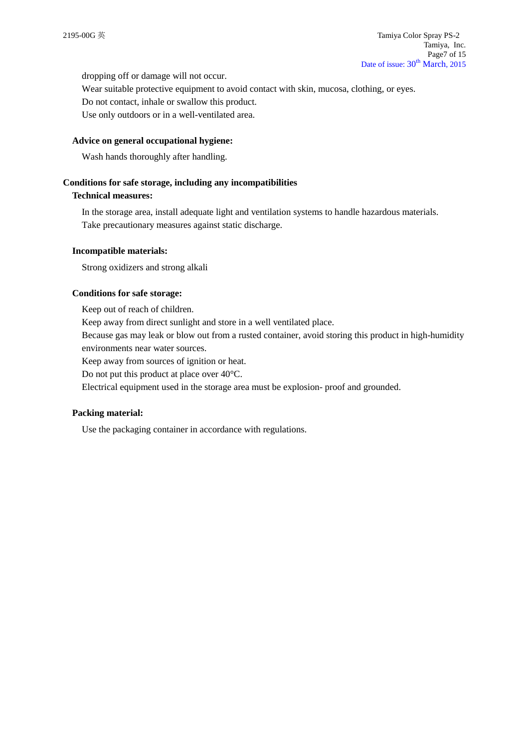dropping off or damage will not occur.

Wear suitable protective equipment to avoid contact with skin, mucosa, clothing, or eyes. Do not contact, inhale or swallow this product.

Use only outdoors or in a well-ventilated area.

## **Advice on general occupational hygiene:**

Wash hands thoroughly after handling.

## **Conditions for safe storage, including any incompatibilities**

## **Technical measures:**

In the storage area, install adequate light and ventilation systems to handle hazardous materials. Take precautionary measures against static discharge.

## **Incompatible materials:**

Strong oxidizers and strong alkali

## **Conditions for safe storage:**

Keep out of reach of children. Keep away from direct sunlight and store in a well ventilated place. Because gas may leak or blow out from a rusted container, avoid storing this product in high-humidity environments near water sources.

Keep away from sources of ignition or heat.

Do not put this product at place over 40°C.

Electrical equipment used in the storage area must be explosion- proof and grounded.

## **Packing material:**

Use the packaging container in accordance with regulations.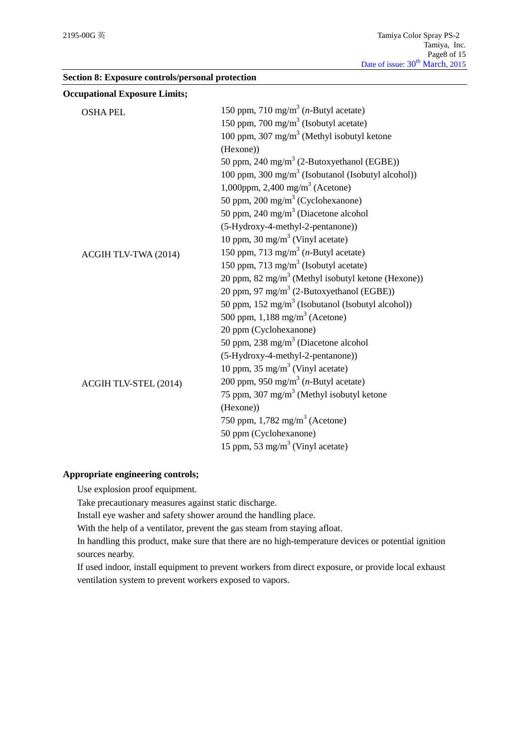|  |  | Section 8: Exposure controls/personal protection |  |  |
|--|--|--------------------------------------------------|--|--|
|--|--|--------------------------------------------------|--|--|

| <b>Occupational Exposure Limits;</b> |                                                                |
|--------------------------------------|----------------------------------------------------------------|
| <b>OSHA PEL</b>                      | 150 ppm, 710 mg/m <sup>3</sup> ( <i>n</i> -Butyl acetate)      |
|                                      | 150 ppm, 700 mg/m <sup>3</sup> (Isobutyl acetate)              |
|                                      | 100 ppm, 307 mg/m <sup>3</sup> (Methyl isobutyl ketone         |
|                                      | (Hexone))                                                      |
|                                      | 50 ppm, 240 mg/m <sup>3</sup> (2-Butoxyethanol (EGBE))         |
|                                      | 100 ppm, 300 mg/m <sup>3</sup> (Isobutanol (Isobutyl alcohol)) |
|                                      | 1,000ppm, 2,400 mg/m <sup>3</sup> (Acetone)                    |
|                                      | 50 ppm, 200 mg/m <sup>3</sup> (Cyclohexanone)                  |
|                                      | 50 ppm, 240 mg/m <sup>3</sup> (Diacetone alcohol               |
|                                      | (5-Hydroxy-4-methyl-2-pentanone))                              |
|                                      | 10 ppm, 30 mg/m <sup>3</sup> (Vinyl acetate)                   |
| ACGIH TLV-TWA (2014)                 | 150 ppm, 713 mg/m <sup>3</sup> ( <i>n</i> -Butyl acetate)      |
|                                      | 150 ppm, 713 mg/m <sup>3</sup> (Isobutyl acetate)              |
|                                      | 20 ppm, 82 mg/m <sup>3</sup> (Methyl isobutyl ketone (Hexone)) |
|                                      | 20 ppm, 97 mg/m <sup>3</sup> (2-Butoxyethanol (EGBE))          |
|                                      | 50 ppm, 152 mg/m <sup>3</sup> (Isobutanol (Isobutyl alcohol))  |
|                                      | 500 ppm, $1,188$ mg/m <sup>3</sup> (Acetone)                   |
|                                      | 20 ppm (Cyclohexanone)                                         |
|                                      | 50 ppm, 238 mg/m <sup>3</sup> (Diacetone alcohol               |
|                                      | (5-Hydroxy-4-methyl-2-pentanone))                              |
|                                      | 10 ppm, 35 mg/m <sup>3</sup> (Vinyl acetate)                   |
| ACGIH TLV-STEL (2014)                | 200 ppm, 950 mg/m <sup>3</sup> ( <i>n</i> -Butyl acetate)      |
|                                      | 75 ppm, 307 mg/m <sup>3</sup> (Methyl isobutyl ketone          |
|                                      | (Hexone))                                                      |
|                                      | 750 ppm, $1,782 \text{ mg/m}^3$ (Acetone)                      |
|                                      | 50 ppm (Cyclohexanone)                                         |
|                                      | 15 ppm, 53 mg/m <sup>3</sup> (Vinyl acetate)                   |
|                                      |                                                                |

## **Appropriate engineering controls;**

Use explosion proof equipment.

Take precautionary measures against static discharge.

Install eye washer and safety shower around the handling place.

With the help of a ventilator, prevent the gas steam from staying afloat.

In handling this product, make sure that there are no high-temperature devices or potential ignition sources nearby.

If used indoor, install equipment to prevent workers from direct exposure, or provide local exhaust ventilation system to prevent workers exposed to vapors.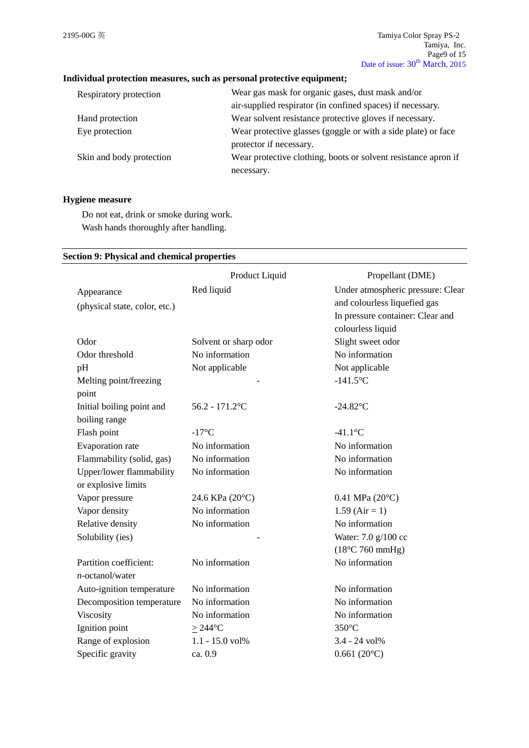## **Individual protection measures, such as personal protective equipment;**

| Respiratory protection   | Wear gas mask for organic gases, dust mask and/or              |
|--------------------------|----------------------------------------------------------------|
|                          | air-supplied respirator (in confined spaces) if necessary.     |
| Hand protection          | Wear solvent resistance protective gloves if necessary.        |
| Eye protection           | Wear protective glasses (goggle or with a side plate) or face  |
|                          | protector if necessary.                                        |
| Skin and body protection | Wear protective clothing, boots or solvent resistance apron if |
|                          | necessary.                                                     |

## **Hygiene measure**

Do not eat, drink or smoke during work. Wash hands thoroughly after handling.

## **Section 9: Physical and chemical properties**

|                               | Product Liquid        | Propellant (DME)                  |
|-------------------------------|-----------------------|-----------------------------------|
| Appearance                    | Red liquid            | Under atmospheric pressure: Clear |
| (physical state, color, etc.) |                       | and colourless liquefied gas      |
|                               |                       | In pressure container: Clear and  |
|                               |                       | colourless liquid                 |
| Odor                          | Solvent or sharp odor | Slight sweet odor                 |
| Odor threshold                | No information        | No information                    |
| pH                            | Not applicable        | Not applicable                    |
| Melting point/freezing        |                       | $-141.5$ °C                       |
| point                         |                       |                                   |
| Initial boiling point and     | $56.2 - 171.2$ °C     | $-24.82$ °C                       |
| boiling range                 |                       |                                   |
| Flash point                   | $-17^{\circ}C$        | $-41.1$ °C                        |
| Evaporation rate              | No information        | No information                    |
| Flammability (solid, gas)     | No information        | No information                    |
| Upper/lower flammability      | No information        | No information                    |
| or explosive limits           |                       |                                   |
| Vapor pressure                | 24.6 KPa (20°C)       | $0.41$ MPa $(20^{\circ}C)$        |
| Vapor density                 | No information        | $1.59$ (Air = 1)                  |
| Relative density              | No information        | No information                    |
| Solubility (ies)              |                       | Water: 7.0 g/100 cc               |
|                               |                       | $(18^{\circ}$ C 760 mmHg)         |
| Partition coefficient:        | No information        | No information                    |
| $n$ -octanol/water            |                       |                                   |
| Auto-ignition temperature     | No information        | No information                    |
| Decomposition temperature     | No information        | No information                    |
| Viscosity                     | No information        | No information                    |
| Ignition point                | $\geq$ 244°C          | 350°C                             |
| Range of explosion            | 1.1 - 15.0 vol%       | 3.4 - 24 vol%                     |
| Specific gravity              | ca. 0.9               | $0.661(20^{\circ}C)$              |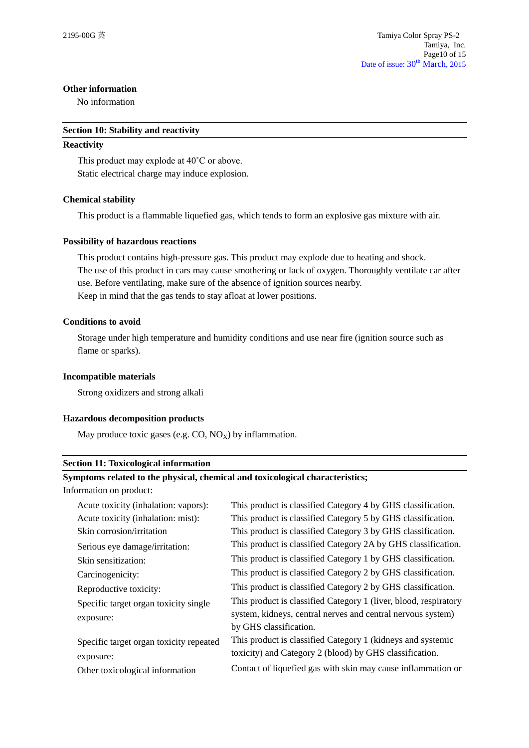## **Other information**

No information

#### **Section 10: Stability and reactivity**

#### **Reactivity**

This product may explode at 40˚C or above. Static electrical charge may induce explosion.

## **Chemical stability**

This product is a flammable liquefied gas, which tends to form an explosive gas mixture with air.

## **Possibility of hazardous reactions**

This product contains high-pressure gas. This product may explode due to heating and shock. The use of this product in cars may cause smothering or lack of oxygen. Thoroughly ventilate car after use. Before ventilating, make sure of the absence of ignition sources nearby. Keep in mind that the gas tends to stay afloat at lower positions.

## **Conditions to avoid**

Storage under high temperature and humidity conditions and use near fire (ignition source such as flame or sparks).

## **Incompatible materials**

Strong oxidizers and strong alkali

## **Hazardous decomposition products**

May produce toxic gases (e.g.  $CO$ ,  $NO_X$ ) by inflammation.

#### **Section 11: Toxicological information**

## **Symptoms related to the physical, chemical and toxicological characteristics;**

Information on product:

| Acute toxicity (inhalation: vapors):<br>Acute toxicity (inhalation: mist): | This product is classified Category 4 by GHS classification.<br>This product is classified Category 5 by GHS classification. |
|----------------------------------------------------------------------------|------------------------------------------------------------------------------------------------------------------------------|
| Skin corrosion/irritation                                                  | This product is classified Category 3 by GHS classification.                                                                 |
| Serious eye damage/irritation:                                             | This product is classified Category 2A by GHS classification.                                                                |
| Skin sensitization:                                                        | This product is classified Category 1 by GHS classification.                                                                 |
| Carcinogenicity:                                                           | This product is classified Category 2 by GHS classification.                                                                 |
| Reproductive toxicity:                                                     | This product is classified Category 2 by GHS classification.                                                                 |
| Specific target organ toxicity single                                      | This product is classified Category 1 (liver, blood, respiratory                                                             |
| exposure:                                                                  | system, kidneys, central nerves and central nervous system)<br>by GHS classification.                                        |
| Specific target organ toxicity repeated                                    | This product is classified Category 1 (kidneys and systemic                                                                  |
| exposure:                                                                  | toxicity) and Category 2 (blood) by GHS classification.                                                                      |
| Other toxicological information                                            | Contact of liquefied gas with skin may cause inflammation or                                                                 |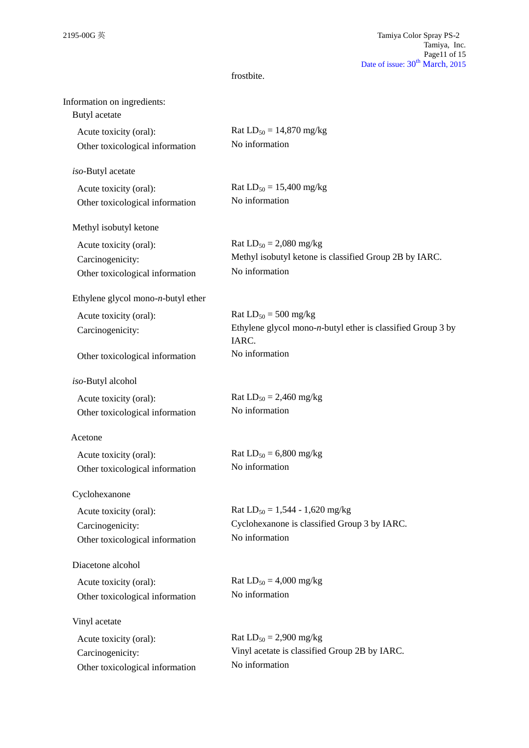## frostbite.

| Information on ingredients:<br>Butyl acetate |                                                                          |
|----------------------------------------------|--------------------------------------------------------------------------|
| Acute toxicity (oral):                       | Rat $LD_{50} = 14,870$ mg/kg                                             |
| Other toxicological information              | No information                                                           |
| iso-Butyl acetate                            |                                                                          |
| Acute toxicity (oral):                       | Rat $LD_{50} = 15,400$ mg/kg                                             |
| Other toxicological information              | No information                                                           |
| Methyl isobutyl ketone                       |                                                                          |
| Acute toxicity (oral):                       | Rat $LD_{50} = 2,080$ mg/kg                                              |
| Carcinogenicity:                             | Methyl isobutyl ketone is classified Group 2B by IARC.                   |
| Other toxicological information              | No information                                                           |
| Ethylene glycol mono- $n$ -butyl ether       |                                                                          |
| Acute toxicity (oral):                       | Rat $LD_{50} = 500$ mg/kg                                                |
| Carcinogenicity:                             | Ethylene glycol mono- $n$ -butyl ether is classified Group 3 by<br>IARC. |
| Other toxicological information              | No information                                                           |
| iso-Butyl alcohol                            |                                                                          |
| Acute toxicity (oral):                       | Rat $LD_{50} = 2,460$ mg/kg                                              |
| Other toxicological information              | No information                                                           |
| Acetone                                      |                                                                          |
| Acute toxicity (oral):                       | Rat $LD_{50} = 6,800$ mg/kg                                              |
| Other toxicological information              | No information                                                           |
| Cyclohexanone                                |                                                                          |
| Acute toxicity (oral):                       | Rat $LD_{50} = 1,544 - 1,620$ mg/kg                                      |
| Carcinogenicity:                             | Cyclohexanone is classified Group 3 by IARC.                             |
| Other toxicological information              | No information                                                           |
| Diacetone alcohol                            |                                                                          |
| Acute toxicity (oral):                       | Rat $LD_{50} = 4,000$ mg/kg                                              |
| Other toxicological information              | No information                                                           |
| Vinyl acetate                                |                                                                          |
| Acute toxicity (oral):                       | Rat $LD_{50} = 2,900$ mg/kg                                              |
| Carcinogenicity:                             | Vinyl acetate is classified Group 2B by IARC.                            |
| Other toxicological information              | No information                                                           |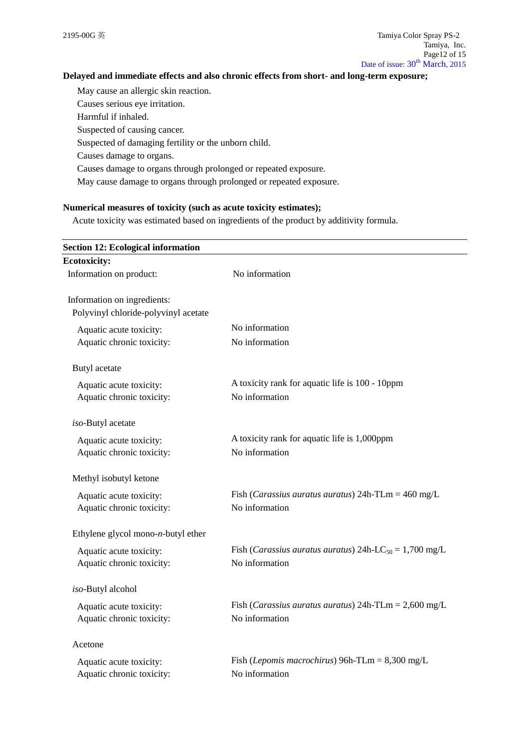## **Delayed and immediate effects and also chronic effects from short- and long-term exposure;**

May cause an allergic skin reaction. Causes serious eye irritation. Harmful if inhaled.

Suspected of causing cancer.

Suspected of damaging fertility or the unborn child.

Causes damage to organs.

Causes damage to organs through prolonged or repeated exposure.

May cause damage to organs through prolonged or repeated exposure.

## **Numerical measures of toxicity (such as acute toxicity estimates);**

Acute toxicity was estimated based on ingredients of the product by additivity formula.

| <b>Section 12: Ecological information</b> |                                                                             |
|-------------------------------------------|-----------------------------------------------------------------------------|
| <b>Ecotoxicity:</b>                       |                                                                             |
| Information on product:                   | No information                                                              |
| Information on ingredients:               |                                                                             |
| Polyvinyl chloride-polyvinyl acetate      |                                                                             |
| Aquatic acute toxicity:                   | No information                                                              |
| Aquatic chronic toxicity:                 | No information                                                              |
| Butyl acetate                             |                                                                             |
| Aquatic acute toxicity:                   | A toxicity rank for aquatic life is 100 - 10ppm                             |
| Aquatic chronic toxicity:                 | No information                                                              |
| iso-Butyl acetate                         |                                                                             |
| Aquatic acute toxicity:                   | A toxicity rank for aquatic life is 1,000ppm                                |
| Aquatic chronic toxicity:                 | No information                                                              |
| Methyl isobutyl ketone                    |                                                                             |
| Aquatic acute toxicity:                   | Fish ( <i>Carassius auratus auratus</i> ) $24h$ -TLm = $460$ mg/L           |
| Aquatic chronic toxicity:                 | No information                                                              |
| Ethylene glycol mono- $n$ -butyl ether    |                                                                             |
| Aquatic acute toxicity:                   | Fish ( <i>Carassius auratus auratus</i> ) 24h-LC <sub>50</sub> = 1,700 mg/L |
| Aquatic chronic toxicity:                 | No information                                                              |
| iso-Butyl alcohol                         |                                                                             |
| Aquatic acute toxicity:                   | Fish ( <i>Carassius auratus auratus</i> ) $24h$ -TLm = $2,600$ mg/L         |
| Aquatic chronic toxicity:                 | No information                                                              |
| Acetone                                   |                                                                             |
| Aquatic acute toxicity:                   | Fish ( <i>Lepomis macrochirus</i> ) 96h-TLm = $8,300$ mg/L                  |
| Aquatic chronic toxicity:                 | No information                                                              |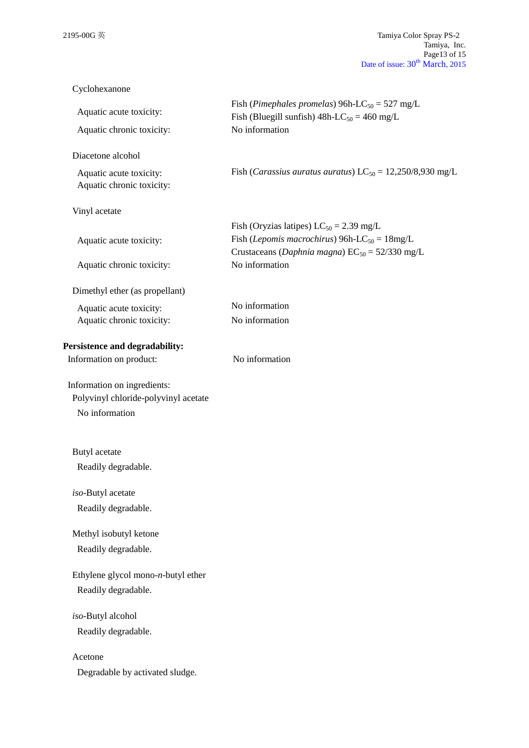| Cyclohexanone                                                                         |                                                                                                                                            |
|---------------------------------------------------------------------------------------|--------------------------------------------------------------------------------------------------------------------------------------------|
| Aquatic acute toxicity:<br>Aquatic chronic toxicity:                                  | Fish (Pimephales promelas) 96h-LC <sub>50</sub> = 527 mg/L<br>Fish (Bluegill sunfish) $48h$ -LC <sub>50</sub> = 460 mg/L<br>No information |
| Diacetone alcohol                                                                     |                                                                                                                                            |
| Aquatic acute toxicity:<br>Aquatic chronic toxicity:                                  | Fish ( <i>Carassius auratus auratus</i> ) LC <sub>50</sub> = 12,250/8,930 mg/L                                                             |
| Vinyl acetate                                                                         |                                                                                                                                            |
|                                                                                       | Fish (Oryzias latipes) $LC_{50} = 2.39$ mg/L                                                                                               |
| Aquatic acute toxicity:                                                               | Fish ( <i>Lepomis macrochirus</i> ) 96h-LC <sub>50</sub> = $18mg/L$<br>Crustaceans (Daphnia magna) $EC_{50} = 52/330$ mg/L                 |
| Aquatic chronic toxicity:                                                             | No information                                                                                                                             |
| Dimethyl ether (as propellant)                                                        |                                                                                                                                            |
| Aquatic acute toxicity:                                                               | No information                                                                                                                             |
| Aquatic chronic toxicity:                                                             | No information                                                                                                                             |
| Persistence and degradability:                                                        |                                                                                                                                            |
| Information on product:                                                               | No information                                                                                                                             |
| Information on ingredients:<br>Polyvinyl chloride-polyvinyl acetate<br>No information |                                                                                                                                            |
| Butyl acetate                                                                         |                                                                                                                                            |
| Readily degradable.                                                                   |                                                                                                                                            |
| iso-Butyl acetate                                                                     |                                                                                                                                            |
| Readily degradable.                                                                   |                                                                                                                                            |
| Methyl isobutyl ketone                                                                |                                                                                                                                            |
| Readily degradable.                                                                   |                                                                                                                                            |
| Ethylene glycol mono-n-butyl ether                                                    |                                                                                                                                            |
| Readily degradable.                                                                   |                                                                                                                                            |
|                                                                                       |                                                                                                                                            |
| iso-Butyl alcohol                                                                     |                                                                                                                                            |
| Readily degradable.                                                                   |                                                                                                                                            |
| Acetone                                                                               |                                                                                                                                            |
| Degradable by activated sludge.                                                       |                                                                                                                                            |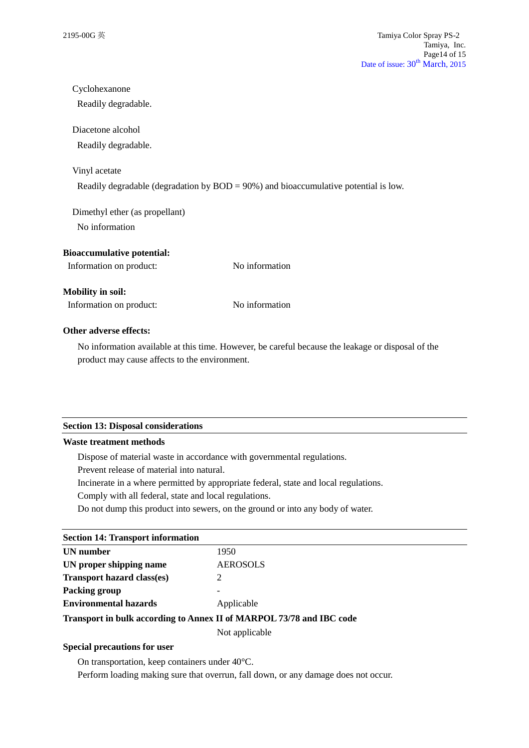| Cyclohexanone                     |                                                                                         |
|-----------------------------------|-----------------------------------------------------------------------------------------|
| Readily degradable.               |                                                                                         |
| Diacetone alcohol                 |                                                                                         |
| Readily degradable.               |                                                                                         |
| Vinyl acetate                     |                                                                                         |
|                                   | Readily degradable (degradation by $BOD = 90\%$ ) and bioaccumulative potential is low. |
| Dimethyl ether (as propellant)    |                                                                                         |
| No information                    |                                                                                         |
| <b>Bioaccumulative potential:</b> |                                                                                         |
| Information on product:           | No information                                                                          |
| <b>Mobility in soil:</b>          |                                                                                         |
| Information on product:           | No information                                                                          |
| Other adverse effects:            |                                                                                         |

No information available at this time. However, be careful because the leakage or disposal of the product may cause affects to the environment.

#### **Section 13: Disposal considerations**

## **Waste treatment methods**

Dispose of material waste in accordance with governmental regulations.

Prevent release of material into natural.

Incinerate in a where permitted by appropriate federal, state and local regulations.

Comply with all federal, state and local regulations.

Do not dump this product into sewers, on the ground or into any body of water.

# **Section 14: Transport information**

| UN number                         | 1950                     |
|-----------------------------------|--------------------------|
| UN proper shipping name           | <b>AEROSOLS</b>          |
| <b>Transport hazard class(es)</b> |                          |
| Packing group                     | $\overline{\phantom{0}}$ |
| <b>Environmental hazards</b>      | Applicable               |
|                                   |                          |

**Transport in bulk according to Annex II of MARPOL 73/78 and IBC code**

Not applicable

## **Special precautions for user**

On transportation, keep containers under 40°C.

Perform loading making sure that overrun, fall down, or any damage does not occur.